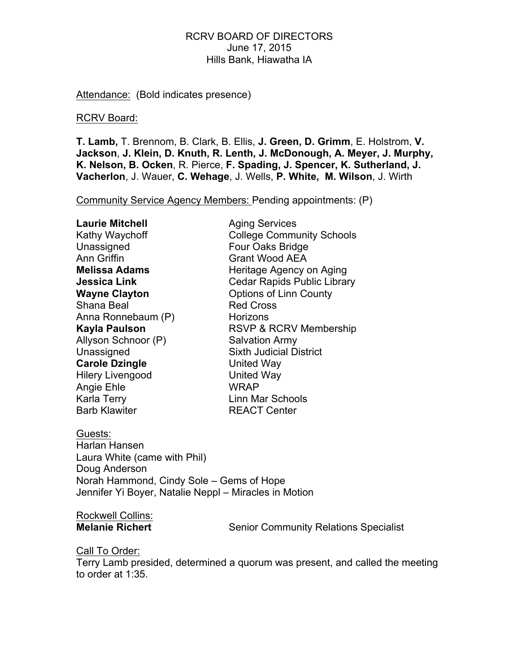# RCRV BOARD OF DIRECTORS June 17, 2015 Hills Bank, Hiawatha IA

Attendance: (Bold indicates presence)

#### RCRV Board:

**T. Lamb,** T. Brennom, B. Clark, B. Ellis, **J. Green, D. Grimm**, E. Holstrom, **V. Jackson**, **J. Klein, D. Knuth, R. Lenth, J. McDonough, A. Meyer, J. Murphy, K. Nelson, B. Ocken**, R. Pierce, **F. Spading, J. Spencer, K. Sutherland, J. Vacherlon**, J. Wauer, **C. Wehage**, J. Wells, **P. White, M. Wilson**, J. Wirth

Community Service Agency Members: Pending appointments: (P)

| <b>Laurie Mitchell</b>  | <b>Aging Services</b>              |
|-------------------------|------------------------------------|
| Kathy Waychoff          | <b>College Community Schools</b>   |
| Unassigned              | Four Oaks Bridge                   |
| <b>Ann Griffin</b>      | <b>Grant Wood AEA</b>              |
| <b>Melissa Adams</b>    | Heritage Agency on Aging           |
| Jessica Link            | <b>Cedar Rapids Public Library</b> |
| <b>Wayne Clayton</b>    | <b>Options of Linn County</b>      |
| Shana Beal              | <b>Red Cross</b>                   |
| Anna Ronnebaum (P)      | Horizons                           |
| Kayla Paulson           | <b>RSVP &amp; RCRV Membership</b>  |
| Allyson Schnoor (P)     | <b>Salvation Army</b>              |
| Unassigned              | <b>Sixth Judicial District</b>     |
| <b>Carole Dzingle</b>   | United Way                         |
| <b>Hilery Livengood</b> | <b>United Way</b>                  |
| Angie Ehle              | <b>WRAP</b>                        |
| Karla Terry             | Linn Mar Schools                   |
| <b>Barb Klawiter</b>    | <b>REACT Center</b>                |
|                         |                                    |

Guests: Harlan Hansen Laura White (came with Phil) Doug Anderson Norah Hammond, Cindy Sole – Gems of Hope Jennifer Yi Boyer, Natalie Neppl – Miracles in Motion

# Rockwell Collins:

**Melanie Richert** Senior Community Relations Specialist

# Call To Order:

Terry Lamb presided, determined a quorum was present, and called the meeting to order at 1:35.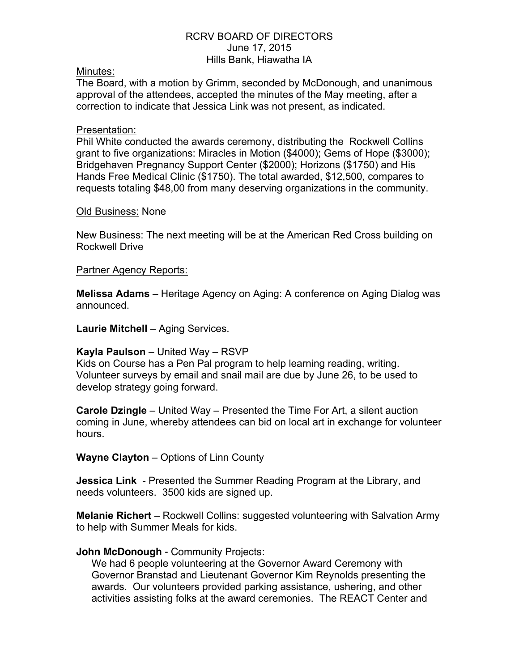# RCRV BOARD OF DIRECTORS June 17, 2015 Hills Bank, Hiawatha IA

## Minutes:

The Board, with a motion by Grimm, seconded by McDonough, and unanimous approval of the attendees, accepted the minutes of the May meeting, after a correction to indicate that Jessica Link was not present, as indicated.

## Presentation:

Phil White conducted the awards ceremony, distributing the Rockwell Collins grant to five organizations: Miracles in Motion (\$4000); Gems of Hope (\$3000); Bridgehaven Pregnancy Support Center (\$2000); Horizons (\$1750) and His Hands Free Medical Clinic (\$1750). The total awarded, \$12,500, compares to requests totaling \$48,00 from many deserving organizations in the community.

#### Old Business: None

New Business: The next meeting will be at the American Red Cross building on Rockwell Drive

# Partner Agency Reports:

**Melissa Adams** – Heritage Agency on Aging: A conference on Aging Dialog was announced.

**Laurie Mitchell** – Aging Services.

# **Kayla Paulson** – United Way – RSVP

Kids on Course has a Pen Pal program to help learning reading, writing. Volunteer surveys by email and snail mail are due by June 26, to be used to develop strategy going forward.

**Carole Dzingle** – United Way – Presented the Time For Art, a silent auction coming in June, whereby attendees can bid on local art in exchange for volunteer hours.

**Wayne Clayton** – Options of Linn County

**Jessica Link** - Presented the Summer Reading Program at the Library, and needs volunteers. 3500 kids are signed up.

**Melanie Richert** – Rockwell Collins: suggested volunteering with Salvation Army to help with Summer Meals for kids.

# **John McDonough** - Community Projects:

We had 6 people volunteering at the Governor Award Ceremony with Governor Branstad and Lieutenant Governor Kim Reynolds presenting the awards. Our volunteers provided parking assistance, ushering, and other activities assisting folks at the award ceremonies. The REACT Center and